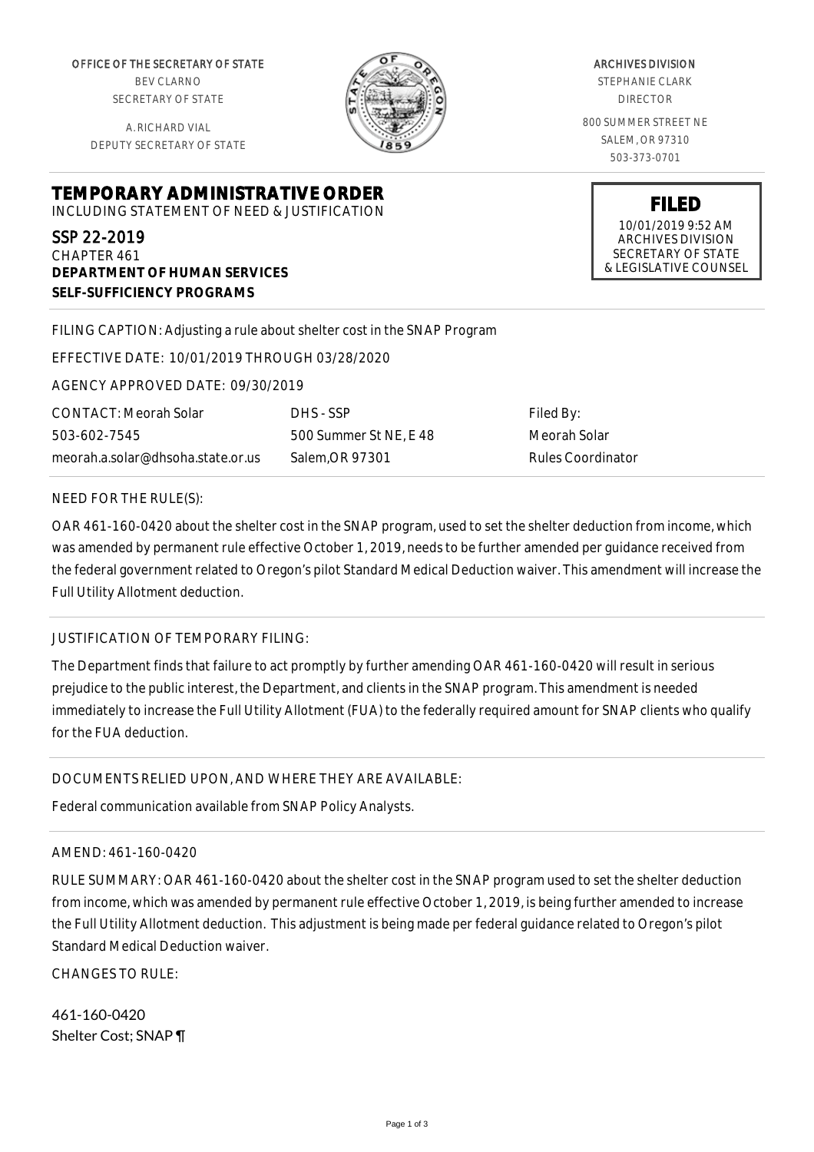OFFICE OF THE SECRETARY OF STATE BEV CLARNO SECRETARY OF STATE

A. RICHARD VIAL DEPUTY SECRETARY OF STATE

**DEPARTMENT OF HUMAN SERVICES**

**SELF-SUFFICIENCY PROGRAMS**



ARCHIVES DIVISION

STEPHANIE CLARK DIRECTOR

800 SUMMER STREET NE SALEM, OR 97310 503-373-0701

> **FILED** 10/01/2019 9:52 AM ARCHIVES DIVISION SECRETARY OF STATE & LEGISLATIVE COUNSEL

FILING CAPTION: Adjusting a rule about shelter cost in the SNAP Program

EFFECTIVE DATE: 10/01/2019 THROUGH 03/28/2020

**TEMPORARY ADMINISTRATIVE ORDER** INCLUDING STATEMENT OF NEED & JUSTIFICATION

AGENCY APPROVED DATE: 09/30/2019

CONTACT: Meorah Solar 503-602-7545 meorah.a.solar@dhsoha.state.or.us

DHS - SSP 500 Summer St NE, E 48 Salem,OR 97301

Filed By: Meorah Solar Rules Coordinator

## NEED FOR THE RULE(S):

SSP 22-2019 CHAPTER 461

OAR 461-160-0420 about the shelter cost in the SNAP program, used to set the shelter deduction from income, which was amended by permanent rule effective October 1, 2019, needs to be further amended per guidance received from the federal government related to Oregon's pilot Standard Medical Deduction waiver. This amendment will increase the Full Utility Allotment deduction.

## JUSTIFICATION OF TEMPORARY FILING:

The Department finds that failure to act promptly by further amending OAR 461-160-0420 will result in serious prejudice to the public interest, the Department, and clients in the SNAP program. This amendment is needed immediately to increase the Full Utility Allotment (FUA) to the federally required amount for SNAP clients who qualify for the FUA deduction.

## DOCUMENTS RELIED UPON, AND WHERE THEY ARE AVAILABLE:

Federal communication available from SNAP Policy Analysts.

## AMEND: 461-160-0420

RULE SUMMARY: OAR 461-160-0420 about the shelter cost in the SNAP program used to set the shelter deduction from income, which was amended by permanent rule effective October 1, 2019, is being further amended to increase the Full Utility Allotment deduction. This adjustment is being made per federal guidance related to Oregon's pilot Standard Medical Deduction waiver.

CHANGES TO RULE:

461-160-0420 Shelter Cost; SNAP ¶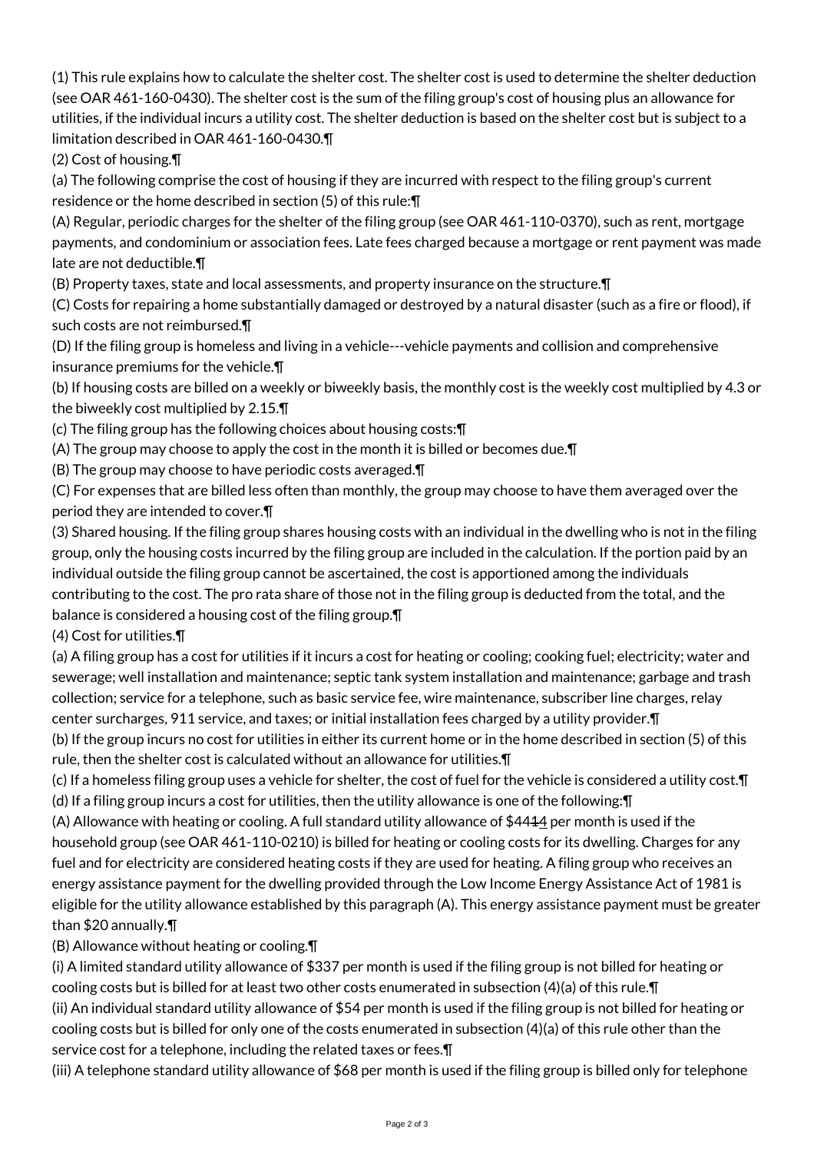(1) This rule explains how to calculate the shelter cost. The shelter cost is used to determine the shelter deduction (see OAR 461-160-0430). The shelter cost is the sum of the filing group's cost of housing plus an allowance for utilities, if the individual incurs a utility cost. The shelter deduction is based on the shelter cost but is subject to a limitation described in OAR 461-160-0430.¶

(2) Cost of housing.¶

(a) The following comprise the cost of housing if they are incurred with respect to the filing group's current residence or the home described in section (5) of this rule:¶

(A) Regular, periodic charges for the shelter of the filing group (see OAR 461-110-0370), such as rent, mortgage payments, and condominium or association fees. Late fees charged because a mortgage or rent payment was made late are not deductible.¶

(B) Property taxes, state and local assessments, and property insurance on the structure.¶

(C) Costs for repairing a home substantially damaged or destroyed by a natural disaster (such as a fire or flood), if such costs are not reimbursed.¶

(D) If the filing group is homeless and living in a vehicle---vehicle payments and collision and comprehensive insurance premiums for the vehicle.¶

(b) If housing costs are billed on a weekly or biweekly basis, the monthly cost is the weekly cost multiplied by 4.3 or the biweekly cost multiplied by 2.15.¶

(c) The filing group has the following choices about housing costs:¶

(A) The group may choose to apply the cost in the month it is billed or becomes due.¶

(B) The group may choose to have periodic costs averaged.¶

(C) For expenses that are billed less often than monthly, the group may choose to have them averaged over the period they are intended to cover.¶

(3) Shared housing. If the filing group shares housing costs with an individual in the dwelling who is not in the filing group, only the housing costs incurred by the filing group are included in the calculation. If the portion paid by an individual outside the filing group cannot be ascertained, the cost is apportioned among the individuals contributing to the cost. The pro rata share of those not in the filing group is deducted from the total, and the balance is considered a housing cost of the filing group.¶

(4) Cost for utilities.¶

(a) A filing group has a cost for utilities if it incurs a cost for heating or cooling; cooking fuel; electricity; water and sewerage; well installation and maintenance; septic tank system installation and maintenance; garbage and trash collection; service for a telephone, such as basic service fee, wire maintenance, subscriber line charges, relay center surcharges, 911 service, and taxes; or initial installation fees charged by a utility provider.¶

(b) If the group incurs no cost for utilities in either its current home or in the home described in section (5) of this rule, then the shelter cost is calculated without an allowance for utilities.¶

(c) If a homeless filing group uses a vehicle for shelter, the cost of fuel for the vehicle is considered a utility cost.¶ (d) If a filing group incurs a cost for utilities, then the utility allowance is one of the following:¶

(A) Allowance with heating or cooling. A full standard utility allowance of \$4414 per month is used if the household group (see OAR 461-110-0210) is billed for heating or cooling costs for its dwelling. Charges for any fuel and for electricity are considered heating costs if they are used for heating. A filing group who receives an energy assistance payment for the dwelling provided through the Low Income Energy Assistance Act of 1981 is eligible for the utility allowance established by this paragraph (A). This energy assistance payment must be greater than \$20 annually.¶

(B) Allowance without heating or cooling.¶

(i) A limited standard utility allowance of \$337 per month is used if the filing group is not billed for heating or cooling costs but is billed for at least two other costs enumerated in subsection (4)(a) of this rule.¶

(ii) An individual standard utility allowance of \$54 per month is used if the filing group is not billed for heating or cooling costs but is billed for only one of the costs enumerated in subsection (4)(a) of this rule other than the service cost for a telephone, including the related taxes or fees.¶

(iii) A telephone standard utility allowance of \$68 per month is used if the filing group is billed only for telephone